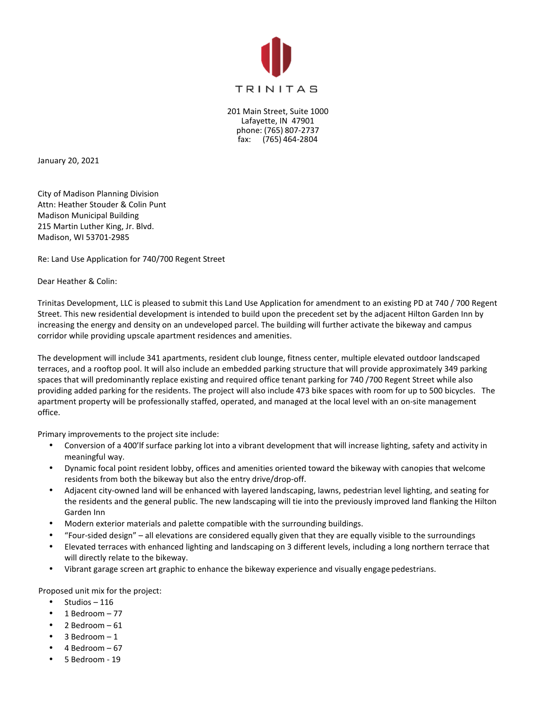

201 Main Street, Suite 1000 Lafayette, IN 47901 phone: (765) 807-2737 fax: (765) 464-2804

January 20, 2021

City of Madison Planning Division Attn: Heather Stouder & Colin Punt Madison Municipal Building 215 Martin Luther King, Jr. Blvd. Madison, WI 53701-2985

Re: Land Use Application for 740/700 Regent Street

Dear Heather & Colin:

Trinitas Development, LLC is pleased to submit this Land Use Application for amendment to an existing PD at 740 / 700 Regent Street. This new residential development is intended to build upon the precedent set by the adjacent Hilton Garden Inn by increasing the energy and density on an undeveloped parcel. The building will further activate the bikeway and campus corridor while providing upscale apartment residences and amenities.

The development will include 341 apartments, resident club lounge, fitness center, multiple elevated outdoor landscaped terraces, and a rooftop pool. It will also include an embedded parking structure that will provide approximately 349 parking spaces that will predominantly replace existing and required office tenant parking for 740 /700 Regent Street while also providing added parking for the residents. The project will also include 473 bike spaces with room for up to 500 bicycles. The apartment property will be professionally staffed, operated, and managed at the local level with an on-site management office.

Primary improvements to the project site include:

- Conversion of a 400'lf surface parking lot into a vibrant development that will increase lighting, safety and activity in meaningful way.
- Dynamic focal point resident lobby, offices and amenities oriented toward the bikeway with canopies that welcome residents from both the bikeway but also the entry drive/drop-off.
- Adjacent city-owned land will be enhanced with layered landscaping, lawns, pedestrian level lighting, and seating for the residents and the general public. The new landscaping will tie into the previously improved land flanking the Hilton Garden Inn
- Modern exterior materials and palette compatible with the surrounding buildings.
- "Four-sided design" all elevations are considered equally given that they are equally visible to the surroundings
- Elevated terraces with enhanced lighting and landscaping on 3 different levels, including a long northern terrace that will directly relate to the bikeway.
- Vibrant garage screen art graphic to enhance the bikeway experience and visually engage pedestrians.

Proposed unit mix for the project:

- $\bullet$  Studios 116
- 1 Bedroom  $-77$
- 2 Bedroom  $-61$
- $3$  Bedroom  $-1$
- $4$  Bedroom  $-67$
- 5 Bedroom 19